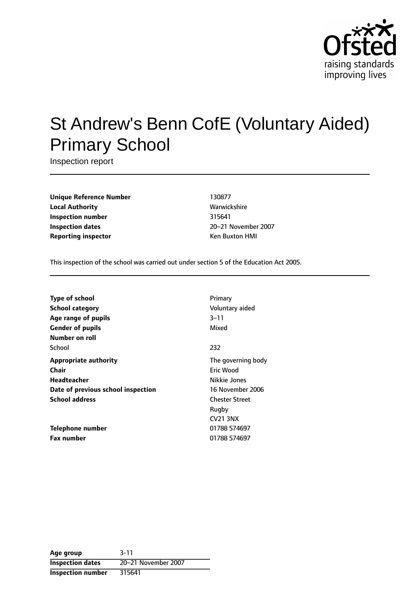

# St Andrew's Benn CofE (Voluntary Aided) Primary School

Inspection report

**Unique Reference Number** 130877 **Local Authority Mathority** Warwickshire **Inspection number** 315641 **Inspection dates** 20-21 November 2007 **Reporting inspector CONFIDENTIAL REPORTING KEN BUXTON HMI** 

This inspection of the school was carried out under section 5 of the Education Act 2005.

| <b>Type of school</b>              | Primary               |
|------------------------------------|-----------------------|
| <b>School category</b>             | Voluntary aided       |
| Age range of pupils                | $3 - 11$              |
| <b>Gender of pupils</b>            | Mixed                 |
| Number on roll                     |                       |
| School                             | 232                   |
| <b>Appropriate authority</b>       | The governing body    |
| Chair                              | Eric Wood             |
| <b>Headteacher</b>                 | Nikkie Jones          |
| Date of previous school inspection | 16 November 2006      |
| <b>School address</b>              | <b>Chester Street</b> |
|                                    | Rugby                 |
|                                    | <b>CV21 3NX</b>       |
| Telephone number                   | 01788 574697          |
| <b>Fax number</b>                  | 01788 574697          |

**Age group** 3-11 **Inspection dates** 20-21 November 2007 **Inspection number** 315641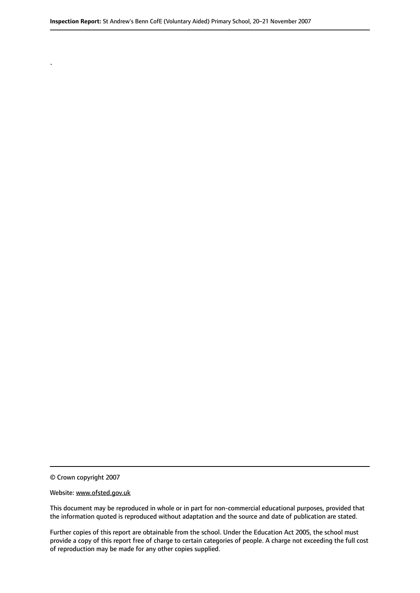© Crown copyright 2007

.

#### Website: www.ofsted.gov.uk

This document may be reproduced in whole or in part for non-commercial educational purposes, provided that the information quoted is reproduced without adaptation and the source and date of publication are stated.

Further copies of this report are obtainable from the school. Under the Education Act 2005, the school must provide a copy of this report free of charge to certain categories of people. A charge not exceeding the full cost of reproduction may be made for any other copies supplied.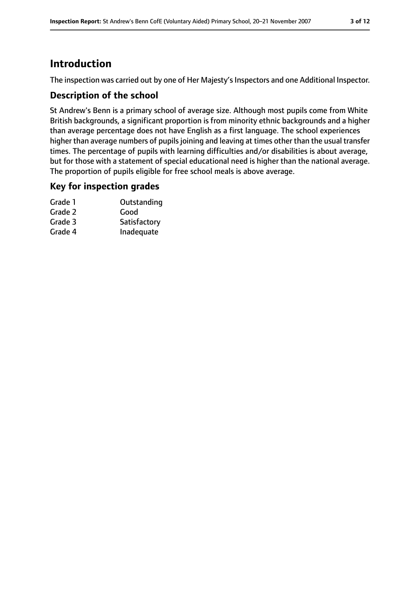# **Introduction**

The inspection was carried out by one of Her Majesty's Inspectors and one Additional Inspector.

#### **Description of the school**

St Andrew's Benn is a primary school of average size. Although most pupils come from White British backgrounds, a significant proportion is from minority ethnic backgrounds and a higher than average percentage does not have English as a first language. The school experiences higher than average numbers of pupils joining and leaving at times other than the usual transfer times. The percentage of pupils with learning difficulties and/or disabilities is about average, but for those with a statement of special educational need is higher than the national average. The proportion of pupils eligible for free school meals is above average.

#### **Key for inspection grades**

| Outstanding  |
|--------------|
| Good         |
| Satisfactory |
| Inadequate   |
|              |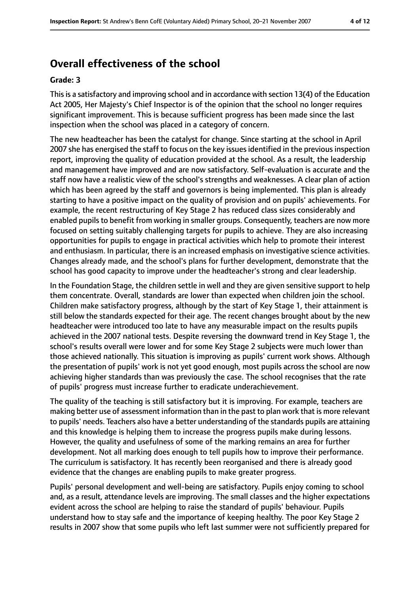## **Overall effectiveness of the school**

#### **Grade: 3**

Thisis a satisfactory and improving school and in accordance with section 13(4) of the Education Act 2005, Her Majesty's Chief Inspector is of the opinion that the school no longer requires significant improvement. This is because sufficient progress has been made since the last inspection when the school was placed in a category of concern.

The new headteacher has been the catalyst for change. Since starting at the school in April 2007 she has energised the staff to focus on the key issues identified in the previous inspection report, improving the quality of education provided at the school. As a result, the leadership and management have improved and are now satisfactory. Self-evaluation is accurate and the staff now have a realistic view of the school's strengths and weaknesses. A clear plan of action which has been agreed by the staff and governors is being implemented. This plan is already starting to have a positive impact on the quality of provision and on pupils' achievements. For example, the recent restructuring of Key Stage 2 has reduced class sizes considerably and enabled pupils to benefit from working in smaller groups. Consequently, teachers are now more focused on setting suitably challenging targets for pupils to achieve. They are also increasing opportunities for pupils to engage in practical activities which help to promote their interest and enthusiasm. In particular, there is an increased emphasis on investigative science activities. Changes already made, and the school's plans for further development, demonstrate that the school has good capacity to improve under the headteacher's strong and clear leadership.

In the Foundation Stage, the children settle in well and they are given sensitive support to help them concentrate. Overall, standards are lower than expected when children join the school. Children make satisfactory progress, although by the start of Key Stage 1, their attainment is still below the standards expected for their age. The recent changes brought about by the new headteacher were introduced too late to have any measurable impact on the results pupils achieved in the 2007 national tests. Despite reversing the downward trend in Key Stage 1, the school's results overall were lower and for some Key Stage 2 subjects were much lower than those achieved nationally. This situation is improving as pupils' current work shows. Although the presentation of pupils' work is not yet good enough, most pupils across the school are now achieving higher standards than was previously the case. The school recognises that the rate of pupils' progress must increase further to eradicate underachievement.

The quality of the teaching is still satisfactory but it is improving. For example, teachers are making better use of assessment information than in the past to plan work that is more relevant to pupils' needs. Teachers also have a better understanding of the standards pupils are attaining and this knowledge is helping them to increase the progress pupils make during lessons. However, the quality and usefulness of some of the marking remains an area for further development. Not all marking does enough to tell pupils how to improve their performance. The curriculum is satisfactory. It has recently been reorganised and there is already good evidence that the changes are enabling pupils to make greater progress.

Pupils' personal development and well-being are satisfactory. Pupils enjoy coming to school and, as a result, attendance levels are improving. The small classes and the higher expectations evident across the school are helping to raise the standard of pupils' behaviour. Pupils understand how to stay safe and the importance of keeping healthy. The poor Key Stage 2 results in 2007 show that some pupils who left last summer were not sufficiently prepared for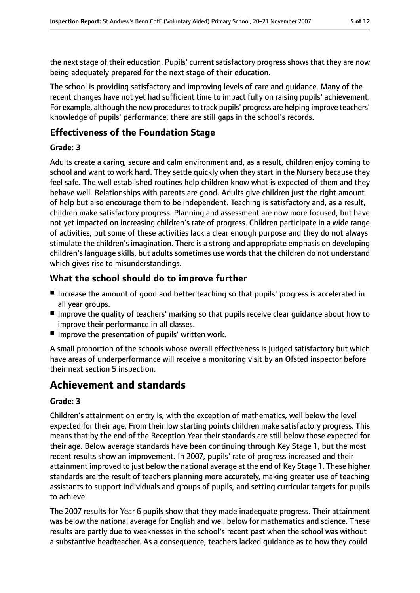the next stage of their education. Pupils' current satisfactory progress shows that they are now being adequately prepared for the next stage of their education.

The school is providing satisfactory and improving levels of care and guidance. Many of the recent changes have not yet had sufficient time to impact fully on raising pupils' achievement. For example, although the new procedures to track pupils' progress are helping improve teachers' knowledge of pupils' performance, there are still gaps in the school's records.

## **Effectiveness of the Foundation Stage**

#### **Grade: 3**

Adults create a caring, secure and calm environment and, as a result, children enjoy coming to school and want to work hard. They settle quickly when they start in the Nursery because they feel safe. The well established routines help children know what is expected of them and they behave well. Relationships with parents are good. Adults give children just the right amount of help but also encourage them to be independent. Teaching is satisfactory and, as a result, children make satisfactory progress. Planning and assessment are now more focused, but have not yet impacted on increasing children's rate of progress. Children participate in a wide range of activities, but some of these activities lack a clear enough purpose and they do not always stimulate the children's imagination. There is a strong and appropriate emphasis on developing children's language skills, but adults sometimes use words that the children do not understand which gives rise to misunderstandings.

### **What the school should do to improve further**

- Increase the amount of good and better teaching so that pupils' progress is accelerated in all year groups.
- Improve the quality of teachers' marking so that pupils receive clear quidance about how to improve their performance in all classes.
- Improve the presentation of pupils' written work.

A small proportion of the schools whose overall effectiveness is judged satisfactory but which have areas of underperformance will receive a monitoring visit by an Ofsted inspector before their next section 5 inspection.

## **Achievement and standards**

#### **Grade: 3**

Children's attainment on entry is, with the exception of mathematics, well below the level expected for their age. From their low starting points children make satisfactory progress. This means that by the end of the Reception Year their standards are still below those expected for their age. Below average standards have been continuing through Key Stage 1, but the most recent results show an improvement. In 2007, pupils' rate of progress increased and their attainment improved to just below the national average at the end of Key Stage 1. These higher standards are the result of teachers planning more accurately, making greater use of teaching assistants to support individuals and groups of pupils, and setting curricular targets for pupils to achieve.

The 2007 results for Year 6 pupils show that they made inadequate progress. Their attainment was below the national average for English and well below for mathematics and science. These results are partly due to weaknesses in the school's recent past when the school was without a substantive headteacher. As a consequence, teachers lacked guidance as to how they could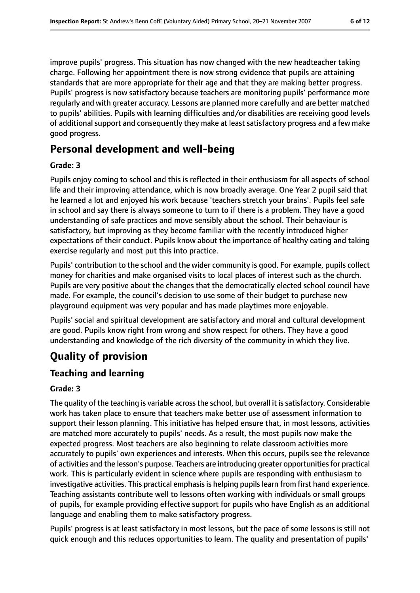improve pupils' progress. This situation has now changed with the new headteacher taking charge. Following her appointment there is now strong evidence that pupils are attaining standards that are more appropriate for their age and that they are making better progress. Pupils' progress is now satisfactory because teachers are monitoring pupils' performance more regularly and with greater accuracy. Lessons are planned more carefully and are better matched to pupils' abilities. Pupils with learning difficulties and/or disabilities are receiving good levels of additional support and consequently they make at least satisfactory progress and a few make good progress.

## **Personal development and well-being**

#### **Grade: 3**

Pupils enjoy coming to school and this is reflected in their enthusiasm for all aspects of school life and their improving attendance, which is now broadly average. One Year 2 pupil said that he learned a lot and enjoyed his work because 'teachers stretch your brains'. Pupils feel safe in school and say there is always someone to turn to if there is a problem. They have a good understanding of safe practices and move sensibly about the school. Their behaviour is satisfactory, but improving as they become familiar with the recently introduced higher expectations of their conduct. Pupils know about the importance of healthy eating and taking exercise regularly and most put this into practice.

Pupils' contribution to the school and the wider community is good. For example, pupils collect money for charities and make organised visits to local places of interest such as the church. Pupils are very positive about the changes that the democratically elected school council have made. For example, the council's decision to use some of their budget to purchase new playground equipment was very popular and has made playtimes more enjoyable.

Pupils' social and spiritual development are satisfactory and moral and cultural development are good. Pupils know right from wrong and show respect for others. They have a good understanding and knowledge of the rich diversity of the community in which they live.

# **Quality of provision**

### **Teaching and learning**

#### **Grade: 3**

The quality of the teaching is variable across the school, but overall it is satisfactory. Considerable work has taken place to ensure that teachers make better use of assessment information to support their lesson planning. This initiative has helped ensure that, in most lessons, activities are matched more accurately to pupils' needs. As a result, the most pupils now make the expected progress. Most teachers are also beginning to relate classroom activities more accurately to pupils' own experiences and interests. When this occurs, pupils see the relevance of activities and the lesson's purpose. Teachers are introducing greater opportunitiesfor practical work. This is particularly evident in science where pupils are responding with enthusiasm to investigative activities. This practical emphasis is helping pupils learn from first hand experience. Teaching assistants contribute well to lessons often working with individuals or small groups of pupils, for example providing effective support for pupils who have English as an additional language and enabling them to make satisfactory progress.

Pupils' progress is at least satisfactory in most lessons, but the pace of some lessons is still not quick enough and this reduces opportunities to learn. The quality and presentation of pupils'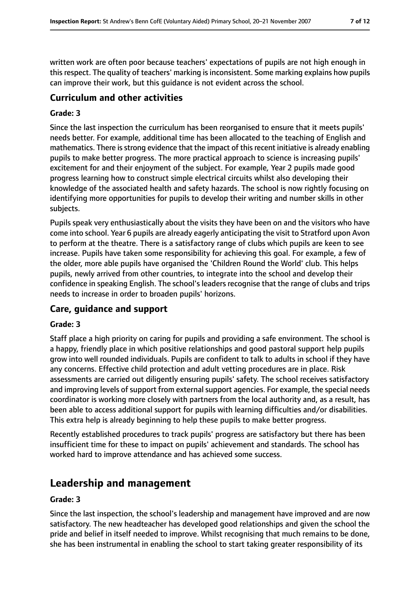written work are often poor because teachers' expectations of pupils are not high enough in this respect. The quality of teachers' marking is inconsistent. Some marking explains how pupils can improve their work, but this guidance is not evident across the school.

## **Curriculum and other activities**

#### **Grade: 3**

Since the last inspection the curriculum has been reorganised to ensure that it meets pupils' needs better. For example, additional time has been allocated to the teaching of English and mathematics. There is strong evidence that the impact of this recent initiative is already enabling pupils to make better progress. The more practical approach to science is increasing pupils' excitement for and their enjoyment of the subject. For example, Year 2 pupils made good progress learning how to construct simple electrical circuits whilst also developing their knowledge of the associated health and safety hazards. The school is now rightly focusing on identifying more opportunities for pupils to develop their writing and number skills in other subjects.

Pupils speak very enthusiastically about the visits they have been on and the visitors who have come into school. Year 6 pupils are already eagerly anticipating the visit to Stratford upon Avon to perform at the theatre. There is a satisfactory range of clubs which pupils are keen to see increase. Pupils have taken some responsibility for achieving this goal. For example, a few of the older, more able pupils have organised the 'Children Round the World' club. This helps pupils, newly arrived from other countries, to integrate into the school and develop their confidence in speaking English. The school's leaders recognise that the range of clubs and trips needs to increase in order to broaden pupils' horizons.

#### **Care, guidance and support**

#### **Grade: 3**

Staff place a high priority on caring for pupils and providing a safe environment. The school is a happy, friendly place in which positive relationships and good pastoral support help pupils grow into well rounded individuals. Pupils are confident to talk to adults in school if they have any concerns. Effective child protection and adult vetting procedures are in place. Risk assessments are carried out diligently ensuring pupils' safety. The school receives satisfactory and improving levels of support from external support agencies. For example, the special needs coordinator is working more closely with partners from the local authority and, as a result, has been able to access additional support for pupils with learning difficulties and/or disabilities. This extra help is already beginning to help these pupils to make better progress.

Recently established procedures to track pupils' progress are satisfactory but there has been insufficient time for these to impact on pupils' achievement and standards. The school has worked hard to improve attendance and has achieved some success.

## **Leadership and management**

#### **Grade: 3**

Since the last inspection, the school's leadership and management have improved and are now satisfactory. The new headteacher has developed good relationships and given the school the pride and belief in itself needed to improve. Whilst recognising that much remains to be done, she has been instrumental in enabling the school to start taking greater responsibility of its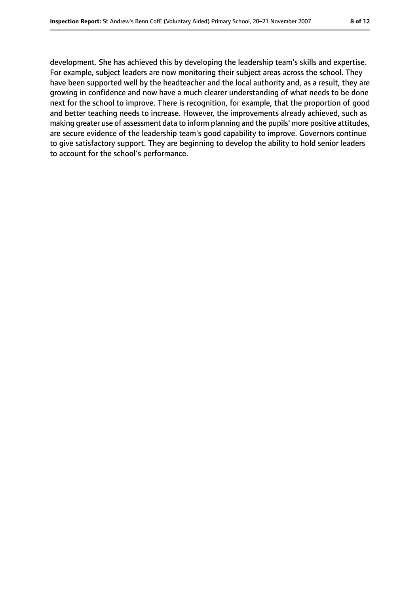development. She has achieved this by developing the leadership team's skills and expertise. For example, subject leaders are now monitoring their subject areas across the school. They have been supported well by the headteacher and the local authority and, as a result, they are growing in confidence and now have a much clearer understanding of what needs to be done next for the school to improve. There is recognition, for example, that the proportion of good and better teaching needs to increase. However, the improvements already achieved, such as making greater use of assessment data to inform planning and the pupils' more positive attitudes, are secure evidence of the leadership team's good capability to improve. Governors continue to give satisfactory support. They are beginning to develop the ability to hold senior leaders to account for the school's performance.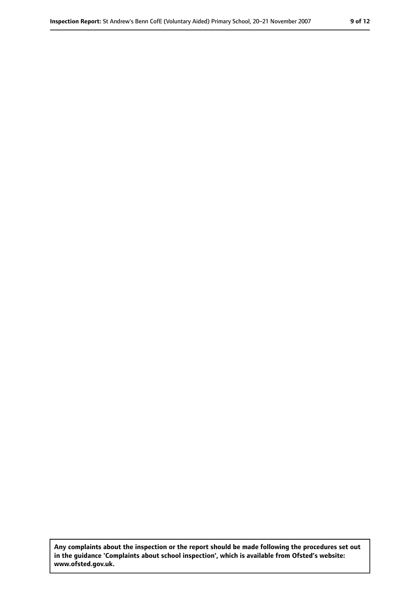**Any complaints about the inspection or the report should be made following the procedures set out in the guidance 'Complaints about school inspection', which is available from Ofsted's website: www.ofsted.gov.uk.**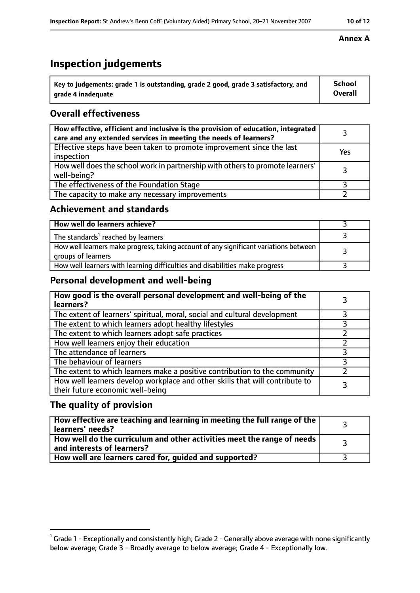## **Inspection judgements**

| $^{\rm t}$ Key to judgements: grade 1 is outstanding, grade 2 good, grade 3 satisfactory, and | School         |
|-----------------------------------------------------------------------------------------------|----------------|
| arade 4 inadeguate                                                                            | <b>Overall</b> |

#### **Overall effectiveness**

| How effective, efficient and inclusive is the provision of education, integrated<br>care and any extended services in meeting the needs of learners? |     |
|------------------------------------------------------------------------------------------------------------------------------------------------------|-----|
| Effective steps have been taken to promote improvement since the last<br>inspection                                                                  | Yes |
| How well does the school work in partnership with others to promote learners'<br>well-being?                                                         |     |
| The effectiveness of the Foundation Stage                                                                                                            |     |
| The capacity to make any necessary improvements                                                                                                      |     |

#### **Achievement and standards**

| How well do learners achieve?                                                                               |  |
|-------------------------------------------------------------------------------------------------------------|--|
| The standards <sup>1</sup> reached by learners                                                              |  |
| How well learners make progress, taking account of any significant variations between<br>groups of learners |  |
| How well learners with learning difficulties and disabilities make progress                                 |  |

### **Personal development and well-being**

| How good is the overall personal development and well-being of the<br>learners?                                  |  |
|------------------------------------------------------------------------------------------------------------------|--|
| The extent of learners' spiritual, moral, social and cultural development                                        |  |
| The extent to which learners adopt healthy lifestyles                                                            |  |
| The extent to which learners adopt safe practices                                                                |  |
| How well learners enjoy their education                                                                          |  |
| The attendance of learners                                                                                       |  |
| The behaviour of learners                                                                                        |  |
| The extent to which learners make a positive contribution to the community                                       |  |
| How well learners develop workplace and other skills that will contribute to<br>their future economic well-being |  |

#### **The quality of provision**

| How effective are teaching and learning in meeting the full range of the<br>learners' needs?          |  |
|-------------------------------------------------------------------------------------------------------|--|
| How well do the curriculum and other activities meet the range of needs<br>and interests of learners? |  |
| How well are learners cared for, guided and supported?                                                |  |

#### **Annex A**

 $^1$  Grade 1 - Exceptionally and consistently high; Grade 2 - Generally above average with none significantly below average; Grade 3 - Broadly average to below average; Grade 4 - Exceptionally low.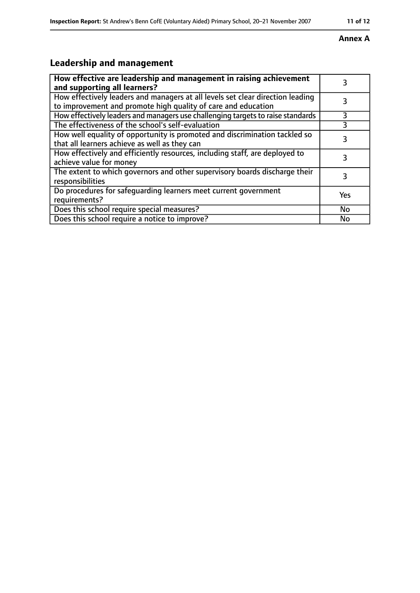#### **Annex A**

# **Leadership and management**

| How effective are leadership and management in raising achievement<br>and supporting all learners?                                              | 3   |
|-------------------------------------------------------------------------------------------------------------------------------------------------|-----|
| How effectively leaders and managers at all levels set clear direction leading<br>to improvement and promote high quality of care and education |     |
| How effectively leaders and managers use challenging targets to raise standards                                                                 | 3   |
| The effectiveness of the school's self-evaluation                                                                                               | 3   |
| How well equality of opportunity is promoted and discrimination tackled so<br>that all learners achieve as well as they can                     | 3   |
| How effectively and efficiently resources, including staff, are deployed to<br>achieve value for money                                          | 3   |
| The extent to which governors and other supervisory boards discharge their<br>responsibilities                                                  | 3   |
| Do procedures for safequarding learners meet current government<br>requirements?                                                                | Yes |
| Does this school require special measures?                                                                                                      | No  |
| Does this school require a notice to improve?                                                                                                   | No  |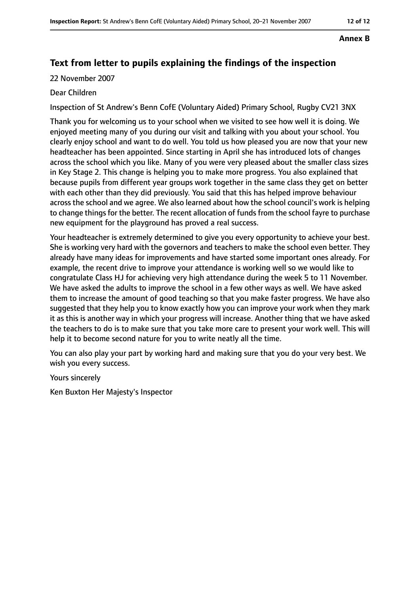#### **Annex B**

## **Text from letter to pupils explaining the findings of the inspection**

22 November 2007

#### Dear Children

Inspection of St Andrew's Benn CofE (Voluntary Aided) Primary School, Rugby CV21 3NX

Thank you for welcoming us to your school when we visited to see how well it is doing. We enjoyed meeting many of you during our visit and talking with you about your school. You clearly enjoy school and want to do well. You told us how pleased you are now that your new headteacher has been appointed. Since starting in April she has introduced lots of changes across the school which you like. Many of you were very pleased about the smaller class sizes in Key Stage 2. This change is helping you to make more progress. You also explained that because pupils from different year groups work together in the same class they get on better with each other than they did previously. You said that this has helped improve behaviour across the school and we agree. We also learned about how the school council's work is helping to change things for the better. The recent allocation of funds from the school fayre to purchase new equipment for the playground has proved a real success.

Your headteacher is extremely determined to give you every opportunity to achieve your best. She is working very hard with the governors and teachers to make the school even better. They already have many ideas for improvements and have started some important ones already. For example, the recent drive to improve your attendance is working well so we would like to congratulate Class HJ for achieving very high attendance during the week 5 to 11 November. We have asked the adults to improve the school in a few other ways as well. We have asked them to increase the amount of good teaching so that you make faster progress. We have also suggested that they help you to know exactly how you can improve your work when they mark it as this is another way in which your progress will increase. Another thing that we have asked the teachers to do is to make sure that you take more care to present your work well. This will help it to become second nature for you to write neatly all the time.

You can also play your part by working hard and making sure that you do your very best. We wish you every success.

Yours sincerely

Ken Buxton Her Majesty's Inspector